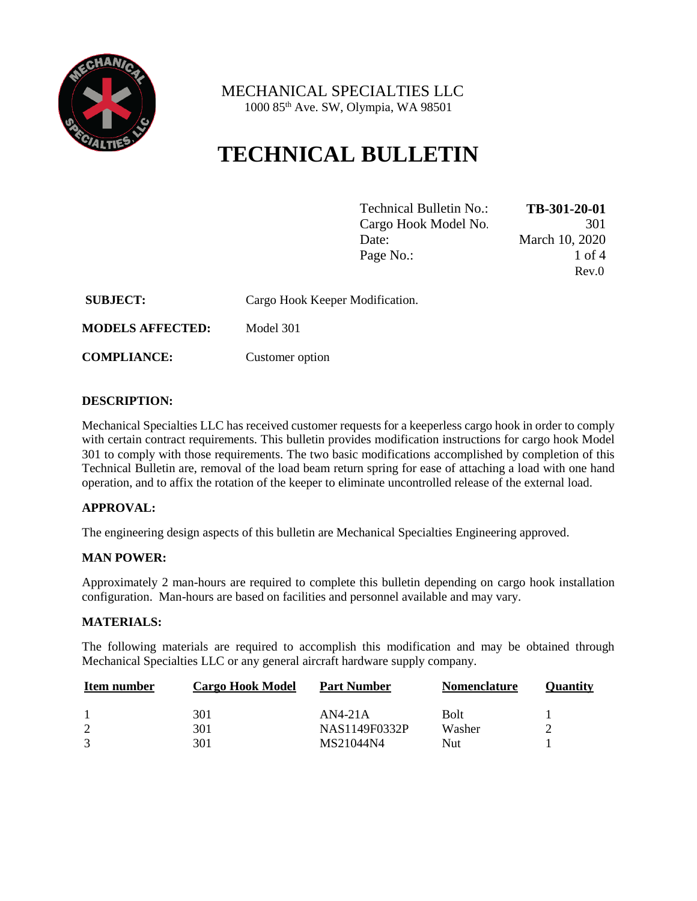

 MECHANICAL SPECIALTIES LLC 1000 85th Ave. SW, Olympia, WA 98501

# **TECHNICAL BULLETIN**

| Technical Bulletin No.: | TB-301-20-01   |
|-------------------------|----------------|
| Cargo Hook Model No.    | 301            |
| Date:                   | March 10, 2020 |
| Page No.:               | 1 of 4         |
|                         | Rev.0          |

| <b>SUBJECT:</b>         | Cargo Hook Keeper Modification. |
|-------------------------|---------------------------------|
| <b>MODELS AFFECTED:</b> | Model 301                       |

**COMPLIANCE:** Customer option

#### **DESCRIPTION:**

Mechanical Specialties LLC has received customer requests for a keeperless cargo hook in order to comply with certain contract requirements. This bulletin provides modification instructions for cargo hook Model 301 to comply with those requirements. The two basic modifications accomplished by completion of this Technical Bulletin are, removal of the load beam return spring for ease of attaching a load with one hand operation, and to affix the rotation of the keeper to eliminate uncontrolled release of the external load.

# **APPROVAL:**

The engineering design aspects of this bulletin are Mechanical Specialties Engineering approved.

#### **MAN POWER:**

Approximately 2 man-hours are required to complete this bulletin depending on cargo hook installation configuration. Man-hours are based on facilities and personnel available and may vary.

#### **MATERIALS:**

The following materials are required to accomplish this modification and may be obtained through Mechanical Specialties LLC or any general aircraft hardware supply company.

| Item number | <b>Cargo Hook Model</b> | <b>Part Number</b> | <b>Nomenclature</b> | Ouantity |
|-------------|-------------------------|--------------------|---------------------|----------|
|             | 301                     | $AN4-21A$          | <b>Bolt</b>         |          |
| 2           | 301                     | NAS1149F0332P      | Washer              |          |
|             | 301                     | MS21044N4          | Nut                 |          |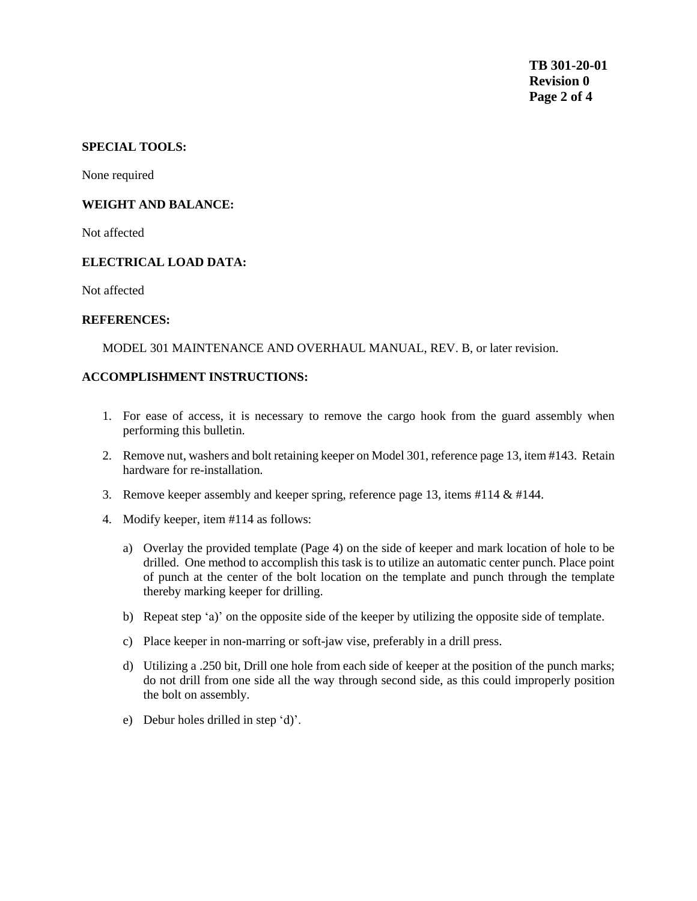# **SPECIAL TOOLS:**

None required

#### **WEIGHT AND BALANCE:**

Not affected

#### **ELECTRICAL LOAD DATA:**

Not affected

#### **REFERENCES:**

MODEL 301 MAINTENANCE AND OVERHAUL MANUAL, REV. B, or later revision.

#### **ACCOMPLISHMENT INSTRUCTIONS:**

- 1. For ease of access, it is necessary to remove the cargo hook from the guard assembly when performing this bulletin.
- 2. Remove nut, washers and bolt retaining keeper on Model 301, reference page 13, item #143. Retain hardware for re-installation.
- 3. Remove keeper assembly and keeper spring, reference page 13, items  $\#114 \& \#144$ .
- 4. Modify keeper, item #114 as follows:
	- a) Overlay the provided template (Page 4) on the side of keeper and mark location of hole to be drilled. One method to accomplish this task is to utilize an automatic center punch. Place point of punch at the center of the bolt location on the template and punch through the template thereby marking keeper for drilling.
	- b) Repeat step 'a)' on the opposite side of the keeper by utilizing the opposite side of template.
	- c) Place keeper in non-marring or soft-jaw vise, preferably in a drill press.
	- d) Utilizing a .250 bit, Drill one hole from each side of keeper at the position of the punch marks; do not drill from one side all the way through second side, as this could improperly position the bolt on assembly.
	- e) Debur holes drilled in step 'd)'.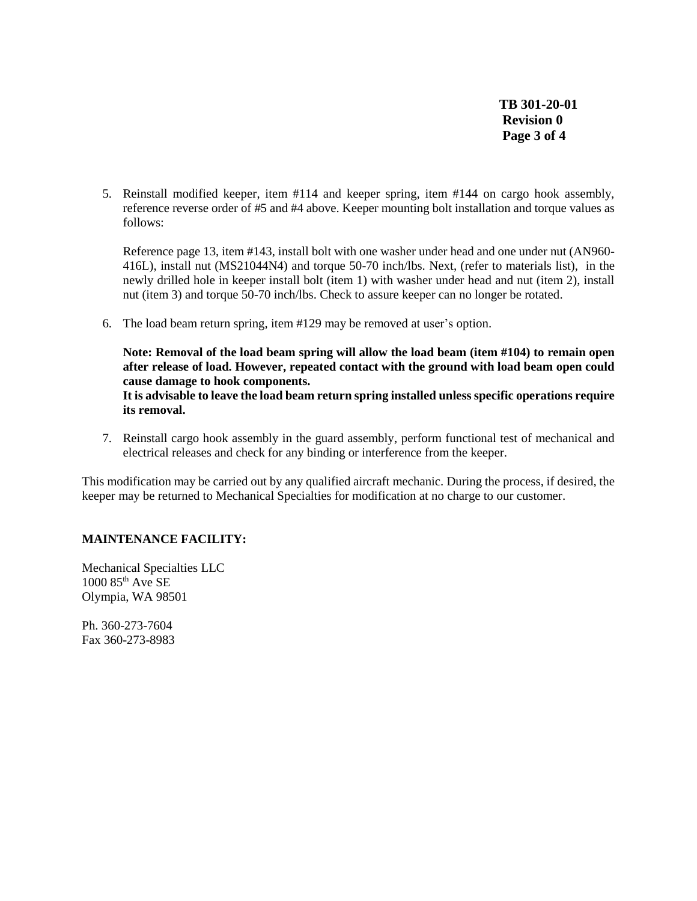**TB 301-20-01 Revision 0 Page 3 of 4**

5. Reinstall modified keeper, item #114 and keeper spring, item #144 on cargo hook assembly, reference reverse order of #5 and #4 above. Keeper mounting bolt installation and torque values as follows:

Reference page 13, item #143, install bolt with one washer under head and one under nut (AN960- 416L), install nut (MS21044N4) and torque 50-70 inch/lbs. Next, (refer to materials list), in the newly drilled hole in keeper install bolt (item 1) with washer under head and nut (item 2), install nut (item 3) and torque 50-70 inch/lbs. Check to assure keeper can no longer be rotated.

6. The load beam return spring, item #129 may be removed at user's option.

**Note: Removal of the load beam spring will allow the load beam (item #104) to remain open after release of load. However, repeated contact with the ground with load beam open could cause damage to hook components. It is advisable to leave the load beam return spring installed unless specific operations require its removal.**

7. Reinstall cargo hook assembly in the guard assembly, perform functional test of mechanical and electrical releases and check for any binding or interference from the keeper.

This modification may be carried out by any qualified aircraft mechanic. During the process, if desired, the keeper may be returned to Mechanical Specialties for modification at no charge to our customer.

# **MAINTENANCE FACILITY:**

Mechanical Specialties LLC  $1000$   $85<sup>th</sup>$  Ave SE Olympia, WA 98501

Ph. 360-273-7604 Fax 360-273-8983